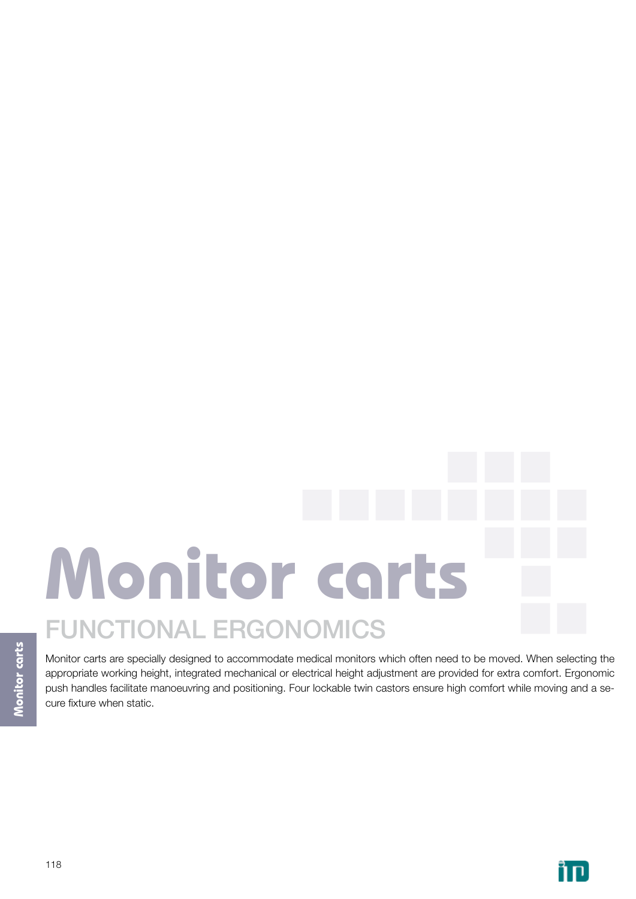# **Monitor carts** functional ergonomics

Monitor carts are specially designed to accommodate medical monitors which often need to be moved. When selecting the appropriate working height, integrated mechanical or electrical height adjustment are provided for extra comfort. Ergonomic push handles facilitate manoeuvring and positioning. Four lockable twin castors ensure high comfort while moving and a secure fixture when static.

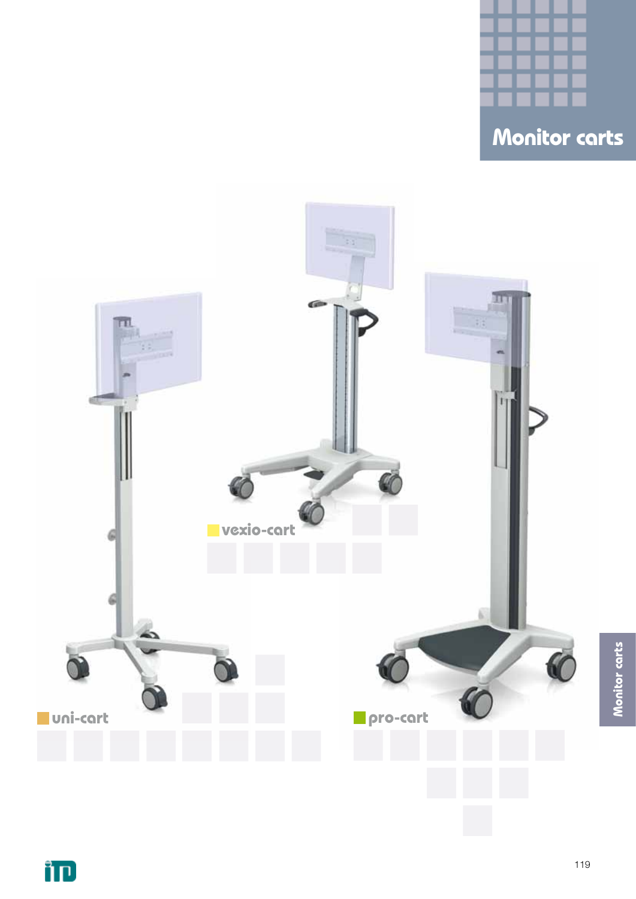

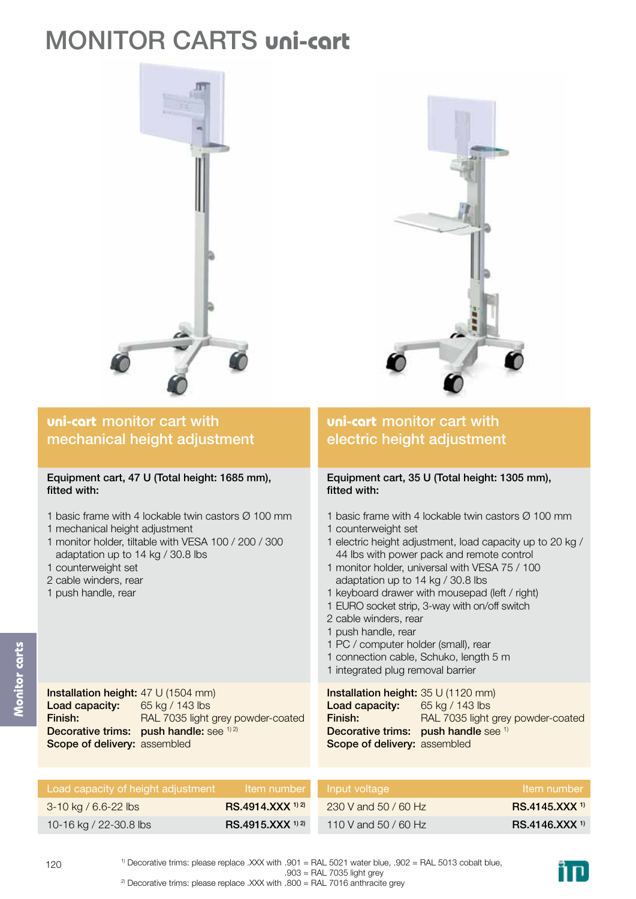# monitor carts **uni-cart**





## **uni-cart** monitor cart with mechanical height adjustment

## Equipment cart, 47 U (Total height: 1685 mm), fitted with:

- 1 basic frame with 4 lockable twin castors Ø 100 mm
- 1 mechanical height adjustment
- 1 monitor holder, tiltable with VESA 100 / 200 / 300 adaptation up to 14 kg / 30.8 lbs
- 1 counterweight set
- 2 cable winders, rear
- 1 push handle, rear

## **uni-cart** monitor cart with electric height adjustment

## Equipment cart, 35 U (Total height: 1305 mm), fitted with:

- 1 basic frame with 4 lockable twin castors Ø 100 mm 1 counterweight set
- 1 electric height adjustment, load capacity up to 20 kg / 44 lbs with power pack and remote control
- 1 monitor holder, universal with VESA 75 / 100 adaptation up to 14 kg / 30.8 lbs
- 1 keyboard drawer with mousepad (left / right)
- 1 EURO socket strip, 3-way with on/off switch
- 2 cable winders, rear
- 1 push handle, rear
- 1 PC / computer holder (small), rear
- 1 connection cable, Schuko, length 5 m
- 1 integrated plug removal barrier

| Installation height: 35 U (1120 mm)         |
|---------------------------------------------|
| 65 kg / 143 lbs                             |
| RAL 7035 light grey powder-coated           |
| <b>Decorative trims:</b> push handle see 1) |
| Scope of delivery: assembled                |
|                                             |

| Load capacity of height adjustment |                              | Item number Input voltage | Item number              |
|------------------------------------|------------------------------|---------------------------|--------------------------|
| 3-10 kg / 6.6-22 lbs               | RS.4914.XXX <sup>1) 2)</sup> | 230 V and 50 / 60 Hz      | RS.4145.XXX <sup>1</sup> |
| 10-16 kg / 22-30.8 lbs             | $RS.4915.XXX^{1/2}$          | 110 V and 50 / 60 Hz      | $RS.4146.XXX^{1}$        |



Installation height: 47 U (1504 mm) Load capacity: Finish: Decorative trims: push handle: see <sup>1) 2)</sup> Scope of delivery: assembled 65 kg / 143 lbs RAL 7035 light grey powder-coated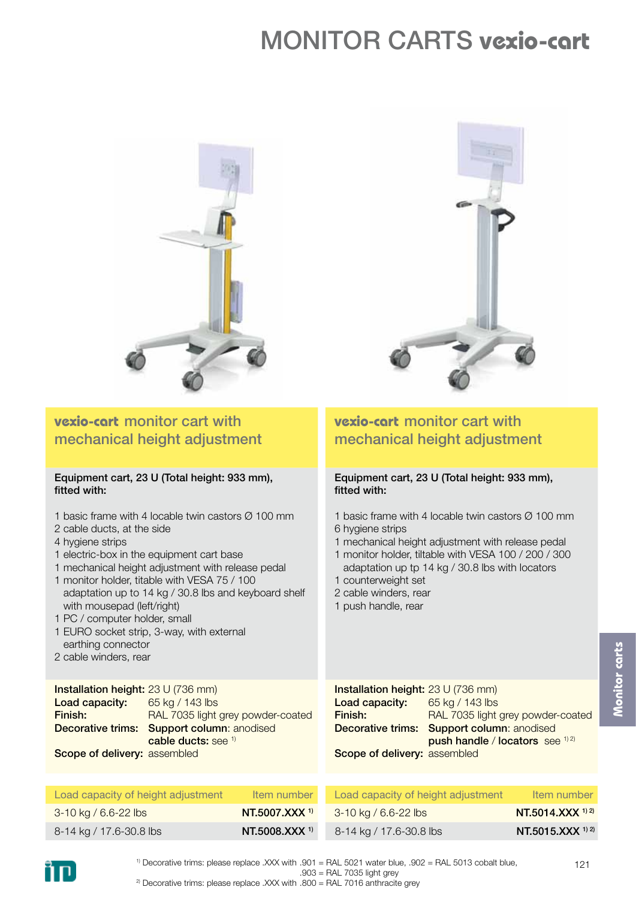# monitor carts **vexio-cart**



**vexio-cart** monitor cart with

fitted with:

mechanical height adjustment

Equipment cart, 23 U (Total height: 933 mm),

## **vexio-cart** monitor cart with mechanical height adjustment

## Equipment cart, 23 U (Total height: 933 mm), fitted with:

1 basic frame with 4 locable twin castors  $\varnothing$  100 mm 2 cable ducts, at the side 4 hygiene strips 1 electric-box in the equipment cart base 1 mechanical height adjustment with release pedal 1 monitor holder, titable with VESA 75 / 100 adaptation up to 14 kg / 30.8 lbs and keyboard shelf with mousepad (left/right) 1 PC / computer holder, small 1 EURO socket strip, 3-way, with external earthing connector 2 cable winders, rear Installation height: 23 U (736 mm) Load capacity: 65 kg / 143 lbs 1 basic frame with 4 locable twin castors Ø 100 mm 6 hygiene strips 1 mechanical height adjustment with release pedal 1 monitor holder, tiltable with VESA 100 / 200 / 300 adaptation up tp 14 kg / 30.8 lbs with locators 1 counterweight set 2 cable winders, rear 1 push handle, rear Load capacity:

| Load capacity:                      | 65 kg / 143 lbs                                   |
|-------------------------------------|---------------------------------------------------|
| Finish:                             | RAL 7035 light grey powder-coated                 |
|                                     | <b>Decorative trims: Support column: anodised</b> |
|                                     | cable ducts: see $1$                              |
| <b>Scope of delivery: assembled</b> |                                                   |



| Load capacity of height adjustment | Item number                 | Load capacity of height adjustment | Item number      |
|------------------------------------|-----------------------------|------------------------------------|------------------|
| $3-10$ kg / 6.6-22 lbs             | $NT.5007.XXX$ <sup>1)</sup> | $3-10$ kg / 6.6-22 lbs             | NT.5014.XXX 1) 2 |
| 8-14 kg / 17.6-30.8 lbs            | NT.5008.XXX <sup>1)</sup>   | 8-14 kg / 17.6-30.8 lbs            | NT.5015.XXX 1) 2 |



1) Decorative trims: please replace .XXX with .901 = RAL 5021 water blue, .902 = RAL 5013 cobalt blue,  $.903 = \text{RAL } 7035$  light grev

<sup>2)</sup> Decorative trims: please replace .XXX with  $.800 = RAL$  7016 anthracite grey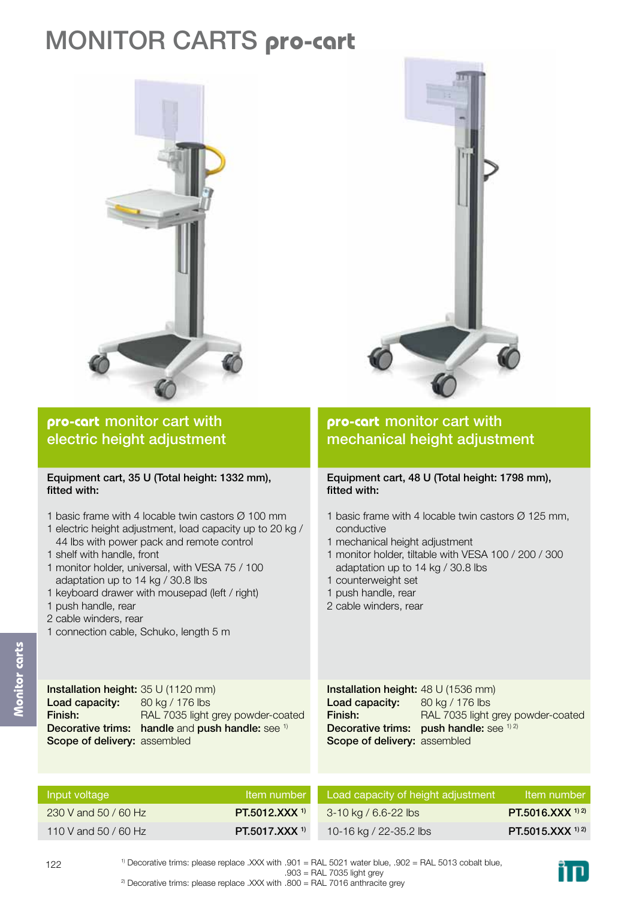# monitor carts **pro-cart**





## **pro-cart** monitor cart with electric height adjustment

## Equipment cart, 35 U (Total height: 1332 mm), fitted with:

- 1 basic frame with 4 locable twin castors Ø 100 mm
- 1 electric height adjustment, load capacity up to 20 kg / 44 lbs with power pack and remote control
- 1 shelf with handle, front
- 1 monitor holder, universal, with VESA 75 / 100 adaptation up to 14 kg / 30.8 lbs
- 1 keyboard drawer with mousepad (left / right)
- 1 push handle, rear
- 2 cable winders, rear
- 1 connection cable, Schuko, length 5 m

## **pro-cart** monitor cart with mechanical height adjustment

## Equipment cart, 48 U (Total height: 1798 mm), fitted with:

- 1 basic frame with 4 locable twin castors  $\varnothing$  125 mm, conductive
- 1 mechanical height adjustment
- 1 monitor holder, tiltable with VESA 100 / 200 / 300 adaptation up to 14 kg / 30.8 lbs
- 1 counterweight set
- 1 push handle, rear
- 2 cable winders, rear

Installation height: 35 U (1120 mm) Load capacity: Finish: Decorative trims: handle and push handle: see 1) Scope of delivery: assembled 80 kg / 176 lbs RAL 7035 light grey powder-coated

Installation height: 48 U (1536 mm) Load capacity: Finish: Decorative trims: push handle: see 1) 2) Scope of delivery: assembled 80 kg / 176 lbs RAL 7035 light grey powder-coated

| Input voltage        | Item number                 | Load capacity of height adjustment | Item number       |
|----------------------|-----------------------------|------------------------------------|-------------------|
| 230 V and 50 / 60 Hz | $PT.5012.XXX$ <sup>1)</sup> | 3-10 kg / 6.6-22 lbs               | PT.5016.XXX 1) 2) |
| 110 V and 50 / 60 Hz | PT.5017.XXX <sup>1)</sup>   | 10-16 kg / 22-35.2 lbs             | PT.5015.XXX 1) 2) |



**Monitor carts**

nitor carts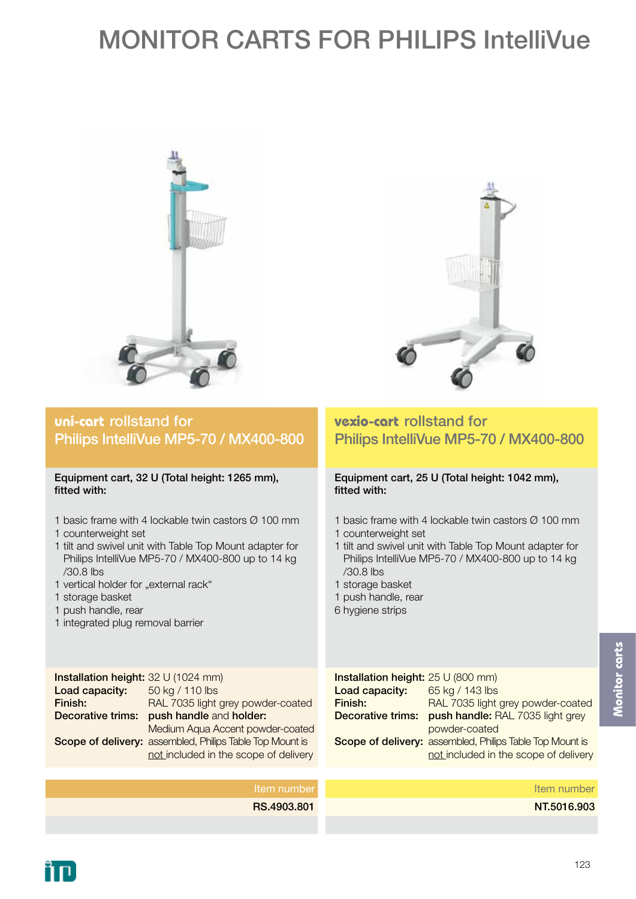# MONITOR CARTS FOR PHILIPS IntelliVue





## **uni-cart** rollstand for Philips IntelliVue MP5-70 / MX400-800

## Equipment cart, 32 U (Total height: 1265 mm), fitted with:

- 1 basic frame with 4 lockable twin castors Ø 100 mm
- 1 counterweight set
- 1 tilt and swivel unit with Table Top Mount adapter for Philips IntelliVue MP5-70 / MX400-800 up to 14 kg /30.8 lbs
- 1 vertical holder for "external rack"
- 1 storage basket
- 1 push handle, rear
- 1 integrated plug removal barrier

## **vexio-cart** rollstand for Philips IntelliVue MP5-70 / MX400-800

## Equipment cart, 25 U (Total height: 1042 mm), fitted with:

- 1 basic frame with 4 lockable twin castors Ø 100 mm
- 1 counterweight set
- 1 tilt and swivel unit with Table Top Mount adapter for Philips IntelliVue MP5-70 / MX400-800 up to 14 kg /30.8 lbs
- 1 storage basket
- 1 push handle, rear
- 6 hygiene strips

Installation height: 32 U (1024 mm) Load capacity: Finish: Decorative trims: push handle and holder: Scope of delivery: assembled, Philips Table Top Mount is 50 kg / 110 lbs RAL 7035 light grey powder-coated Medium Aqua Accent powder-coated not included in the scope of delivery

| Installation height: 25 U (800 mm) |                                                          |
|------------------------------------|----------------------------------------------------------|
| Load capacity:                     | 65 kg / 143 lbs                                          |
| Finish:                            | RAL 7035 light grey powder-coated                        |
| Decorative trims:                  | push handle: RAL 7035 light grey                         |
|                                    | powder-coated                                            |
|                                    | Scope of delivery: assembled, Philips Table Top Mount is |
|                                    | not included in the scope of delivery                    |
|                                    |                                                          |

## Item number RS.4903.801 Item number NT.5016.903